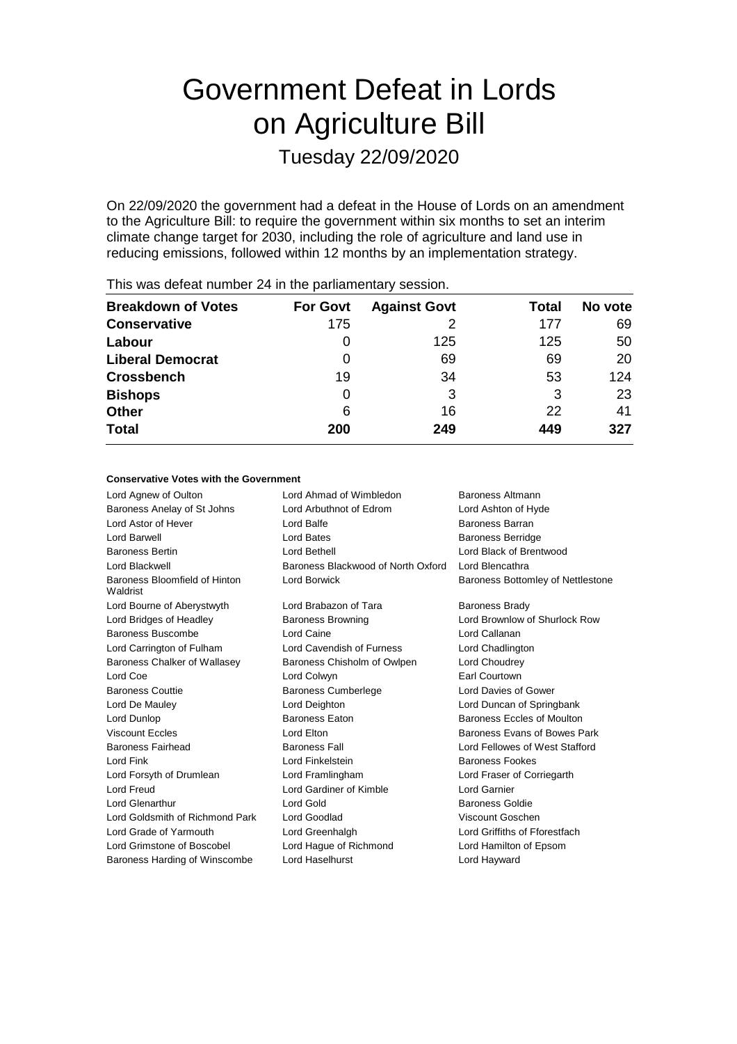# Government Defeat in Lords on Agriculture Bill

Tuesday 22/09/2020

On 22/09/2020 the government had a defeat in the House of Lords on an amendment to the Agriculture Bill: to require the government within six months to set an interim climate change target for 2030, including the role of agriculture and land use in reducing emissions, followed within 12 months by an implementation strategy.

| <b>Breakdown of Votes</b> | <b>For Govt</b> | <b>Against Govt</b> | Total | No vote |
|---------------------------|-----------------|---------------------|-------|---------|
| <b>Conservative</b>       | 175             |                     | 177   | 69      |
| Labour                    | O               | 125                 | 125   | 50      |
| <b>Liberal Democrat</b>   | 0               | 69                  | 69    | 20      |
| <b>Crossbench</b>         | 19              | 34                  | 53    | 124     |
| <b>Bishops</b>            | 0               | 3                   | 3     | 23      |
| <b>Other</b>              | 6               | 16                  | 22    | 41      |
| <b>Total</b>              | 200             | 249                 | 449   | 327     |
|                           |                 |                     |       |         |

This was defeat number 24 in the parliamentary session.

#### **Conservative Votes with the Government**

| Lord Agnew of Oulton                      | Lord Ahmad of Wimbledon            | Baroness Altmann                  |
|-------------------------------------------|------------------------------------|-----------------------------------|
| Baroness Anelay of St Johns               | Lord Arbuthnot of Edrom            | Lord Ashton of Hyde               |
| Lord Astor of Hever                       | Lord Balfe                         | Baroness Barran                   |
| Lord Barwell                              | Lord Bates                         | <b>Baroness Berridge</b>          |
| <b>Baroness Bertin</b>                    | Lord Bethell                       | Lord Black of Brentwood           |
| Lord Blackwell                            | Baroness Blackwood of North Oxford | Lord Blencathra                   |
| Baroness Bloomfield of Hinton<br>Waldrist | Lord Borwick                       | Baroness Bottomley of Nettlestone |
| Lord Bourne of Aberystwyth                | Lord Brabazon of Tara              | <b>Baroness Brady</b>             |
| Lord Bridges of Headley                   | <b>Baroness Browning</b>           | Lord Brownlow of Shurlock Row     |
| Baroness Buscombe                         | Lord Caine                         | Lord Callanan                     |
| Lord Carrington of Fulham                 | Lord Cavendish of Furness          | Lord Chadlington                  |
| Baroness Chalker of Wallasey              | Baroness Chisholm of Owlpen        | Lord Choudrey                     |
| Lord Coe                                  | Lord Colwyn                        | <b>Earl Courtown</b>              |
| <b>Baroness Couttie</b>                   | <b>Baroness Cumberlege</b>         | Lord Davies of Gower              |
| Lord De Mauley                            | Lord Deighton                      | Lord Duncan of Springbank         |
| Lord Dunlop                               | <b>Baroness Eaton</b>              | Baroness Eccles of Moulton        |
| <b>Viscount Eccles</b>                    | Lord Elton                         | Baroness Evans of Bowes Park      |
| <b>Baroness Fairhead</b>                  | <b>Baroness Fall</b>               | Lord Fellowes of West Stafford    |
| Lord Fink                                 | Lord Finkelstein                   | <b>Baroness Fookes</b>            |
| Lord Forsyth of Drumlean                  | Lord Framlingham                   | Lord Fraser of Corriegarth        |
| Lord Freud                                | Lord Gardiner of Kimble            | Lord Garnier                      |
| <b>Lord Glenarthur</b>                    | Lord Gold                          | <b>Baroness Goldie</b>            |
| Lord Goldsmith of Richmond Park           | Lord Goodlad                       | Viscount Goschen                  |
| Lord Grade of Yarmouth                    | Lord Greenhalgh                    | Lord Griffiths of Fforestfach     |
| Lord Grimstone of Boscobel                | Lord Hague of Richmond             | Lord Hamilton of Epsom            |
| Baroness Harding of Winscombe             | Lord Haselhurst                    | Lord Hayward                      |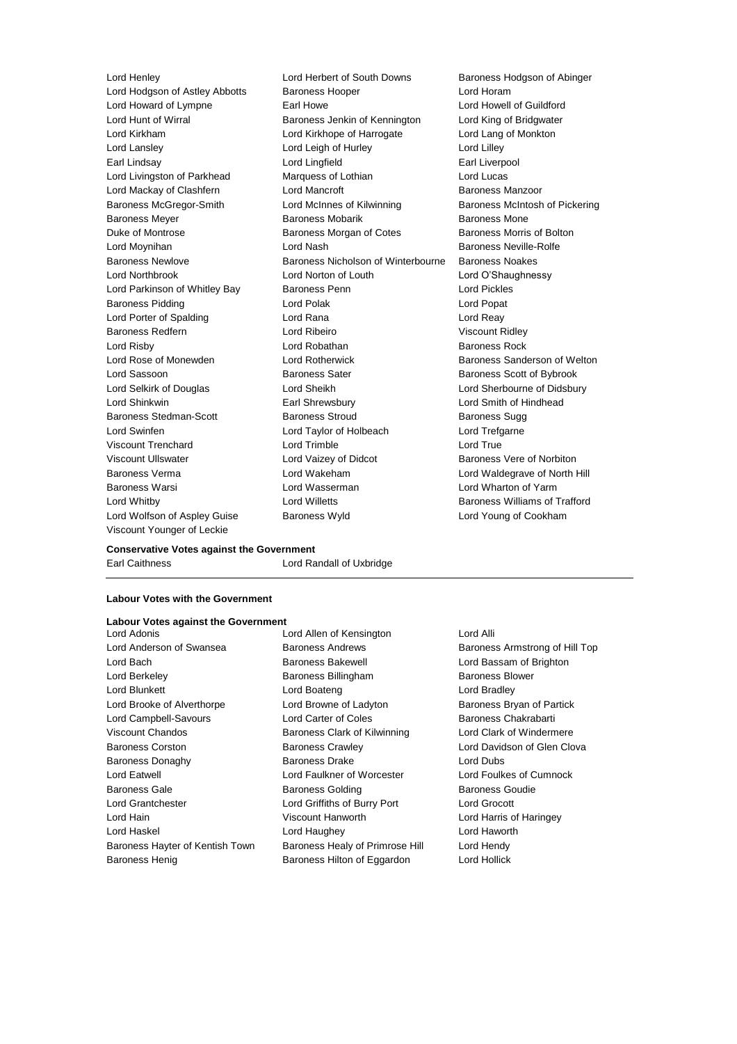Lord Wolfson of Aspley Guise Baroness Wyld Lord Young of Cookham Viscount Younger of Leckie

Lord Henley Lord Herbert of South Downs Baroness Hodgson of Abinger Lord Hodgson of Astley Abbotts Baroness Hooper Superviction and Horam Lord Howard of Lympne Earl Howe Lord Howell of Guildford Lord Hunt of Wirral Baroness Jenkin of Kennington Lord King of Bridgwater Lord Kirkham Lord Kirkhope of Harrogate Lord Lang of Monkton Lord Lansley **Lord Leigh of Hurley** Lord Lord Lilley Earl Lindsay Lord Lingfield Earl Liverpool Lord Livingston of Parkhead Marquess of Lothian Lord Lucas Lord Mackay of Clashfern Lord Mancroft Baroness Manzoor Baroness McGregor-Smith Lord McInnes of Kilwinning Baroness McIntosh of Pickering Baroness Meyer Baroness Mobarik Baroness Mone Duke of Montrose **Baroness Morgan of Cotes** Baroness Morris of Bolton Lord Moynihan Lord Nash Baroness Neville-Rolfe Baroness Newlove Baroness Nicholson of Winterbourne Baroness Noakes Lord Northbrook Lord Norton of Louth Lord O'Shaughnessy Lord Parkinson of Whitley Bay Baroness Penn Lord Pickles Baroness Pidding Lord Polak Lord Popat Lord Porter of Spalding **Lord Rana** Lord Reassess Lord Reassesses Baroness Redfern **Lord Ribeiro** Lord Ribeiro Viscount Ridley **Lord Risby Communist Communist Lord Robathan Communist Communist Communist Communist Communist Communist Communist Communist Communist Communist Communist Communist Communist Communist Communist Communist Communist Commun** Lord Rose of Monewden **Lord Rotherwick** Baroness Sanderson of Welton Lord Sassoon Baroness Sater Baroness Scott of Bybrook Lord Selkirk of Douglas Lord Sheikh Lord Sherbourne of Didsbury Lord Shinkwin Earl Shrewsbury Lord Smith of Hindhead Baroness Stedman-Scott Baroness Stroud Baroness Sugg Lord Swinfen Lord Taylor of Holbeach Lord Trefgarne Viscount Trenchard Lord Trimble Lord True Viscount Ullswater **Lord Vaizey of Didcot** Baroness Vere of Norbiton Baroness Verma Lord Wakeham Lord Waldegrave of North Hill Baroness Warsi Lord Wasserman Lord Wharton of Yarm Lord Whitby **Lord Willetts Baroness Williams of Trafford Lord Willetts Baroness Williams of Trafford** 

### **Conservative Votes against the Government**

Earl Caithness Lord Randall of Uxbridge

#### **Labour Votes with the Government**

## **Labour Votes against the Government**<br>Lord Adonis

Lord Anderson of Swansea Baroness Andrews Baroness Armstrong of Hill Top Lord Bach Baroness Bakewell Lord Bassam of Brighton Lord Berkeley Baroness Billingham Baroness Blower Lord Blunkett Lord Boateng Lord Bradley Lord Brooke of Alverthorpe **Lord Browne of Ladyton** Baroness Bryan of Partick Lord Campbell-Savours **Lord Carter of Coles** Baroness Chakrabarti Viscount Chandos Baroness Clark of Kilwinning Lord Clark of Windermere Baroness Corston **Baroness Crawley Baroness Crawley** Lord Davidson of Glen Clova Baroness Donaghy **Baroness Drake** Lord Dubs Lord Eatwell Lord Faulkner of Worcester Lord Foulkes of Cumnock Baroness Gale **Baroness Golding** Baroness Goudie **Baroness Goudie** Lord Grantchester Lord Griffiths of Burry Port Lord Grocott Lord Hain Viscount Hanworth Lord Harris of Haringey Lord Haskel Lord Haughey Lord Haworth Baroness Hayter of Kentish Town Baroness Healy of Primrose Hill Lord Hendy

Lord Allen of Kensington Lord Alli Baroness Henig **Baroness Hilton of Eggardon** Lord Hollick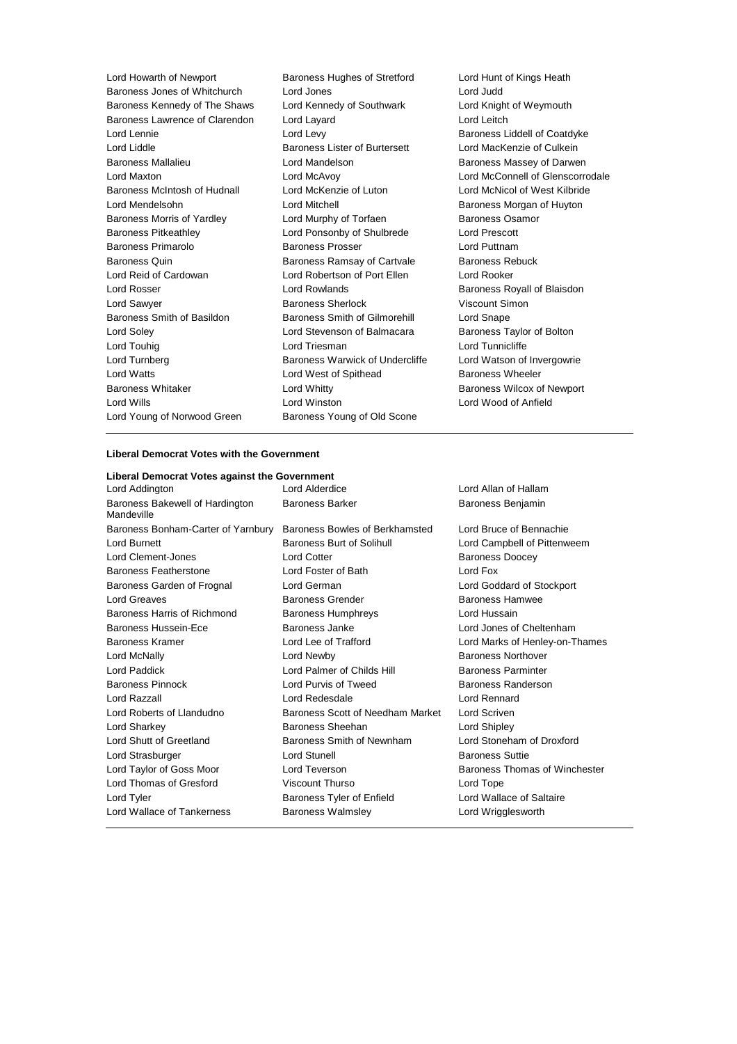| Lord Howarth of Newport        | Baroness Hughes of Stretford    | Lord Hunt of Kings Heath         |
|--------------------------------|---------------------------------|----------------------------------|
| Baroness Jones of Whitchurch   | Lord Jones                      | Lord Judd                        |
| Baroness Kennedy of The Shaws  | Lord Kennedy of Southwark       | Lord Knight of Weymouth          |
| Baroness Lawrence of Clarendon | Lord Layard                     | Lord Leitch                      |
| Lord Lennie                    | Lord Levy                       | Baroness Liddell of Coatdyke     |
| Lord Liddle                    | Baroness Lister of Burtersett   | Lord MacKenzie of Culkein        |
| <b>Baroness Mallalieu</b>      | Lord Mandelson                  | Baroness Massey of Darwen        |
| Lord Maxton                    | Lord McAvoy                     | Lord McConnell of Glenscorrodale |
| Baroness McIntosh of Hudnall   | Lord McKenzie of Luton          | Lord McNicol of West Kilbride    |
| Lord Mendelsohn                | Lord Mitchell                   | Baroness Morgan of Huyton        |
| Baroness Morris of Yardley     | Lord Murphy of Torfaen          | <b>Baroness Osamor</b>           |
| <b>Baroness Pitkeathley</b>    | Lord Ponsonby of Shulbrede      | <b>Lord Prescott</b>             |
| Baroness Primarolo             | <b>Baroness Prosser</b>         | Lord Puttnam                     |
| <b>Baroness Quin</b>           | Baroness Ramsay of Cartvale     | <b>Baroness Rebuck</b>           |
| Lord Reid of Cardowan          | Lord Robertson of Port Ellen    | Lord Rooker                      |
| Lord Rosser                    | Lord Rowlands                   | Baroness Royall of Blaisdon      |
| Lord Sawyer                    | <b>Baroness Sherlock</b>        | Viscount Simon                   |
| Baroness Smith of Basildon     | Baroness Smith of Gilmorehill   | Lord Snape                       |
| Lord Soley                     | Lord Stevenson of Balmacara     | Baroness Taylor of Bolton        |
| Lord Touhig                    | Lord Triesman                   | Lord Tunnicliffe                 |
| Lord Turnberg                  | Baroness Warwick of Undercliffe | Lord Watson of Invergowrie       |
| <b>Lord Watts</b>              | Lord West of Spithead           | Baroness Wheeler                 |
| <b>Baroness Whitaker</b>       | Lord Whitty                     | Baroness Wilcox of Newport       |
| Lord Wills                     | Lord Winston                    | Lord Wood of Anfield             |
| Lord Young of Norwood Green    | Baroness Young of Old Scone     |                                  |

#### **Liberal Democrat Votes with the Government**

| Liberal Democrat Votes against the Government |                                  |                                |
|-----------------------------------------------|----------------------------------|--------------------------------|
| Lord Addington                                | Lord Alderdice                   | Lord Allan of Hallam           |
| Baroness Bakewell of Hardington<br>Mandeville | <b>Baroness Barker</b>           | Baroness Benjamin              |
| Baroness Bonham-Carter of Yarnbury            | Baroness Bowles of Berkhamsted   | Lord Bruce of Bennachie        |
| Lord Burnett                                  | Baroness Burt of Solihull        | Lord Campbell of Pittenweem    |
| Lord Clement-Jones                            | <b>Lord Cotter</b>               | <b>Baroness Doocey</b>         |
| Baroness Featherstone                         | Lord Foster of Bath              | Lord Fox                       |
| Baroness Garden of Frognal                    | Lord German                      | Lord Goddard of Stockport      |
| Lord Greaves                                  | <b>Baroness Grender</b>          | <b>Baroness Hamwee</b>         |
| Baroness Harris of Richmond                   | <b>Baroness Humphreys</b>        | Lord Hussain                   |
| Baroness Hussein-Ece                          | Baroness Janke                   | Lord Jones of Cheltenham       |
| Baroness Kramer                               | Lord Lee of Trafford             | Lord Marks of Henley-on-Thames |
| Lord McNally                                  | Lord Newby                       | <b>Baroness Northover</b>      |
| Lord Paddick                                  | Lord Palmer of Childs Hill       | <b>Baroness Parminter</b>      |
| Baroness Pinnock                              | Lord Purvis of Tweed             | Baroness Randerson             |
| Lord Razzall                                  | Lord Redesdale                   | Lord Rennard                   |
| Lord Roberts of Llandudno                     | Baroness Scott of Needham Market | Lord Scriven                   |
| Lord Sharkey                                  | Baroness Sheehan                 | Lord Shipley                   |
| Lord Shutt of Greetland                       | Baroness Smith of Newnham        | Lord Stoneham of Droxford      |
| Lord Strasburger                              | Lord Stunell                     | <b>Baroness Suttie</b>         |
| Lord Taylor of Goss Moor                      | Lord Teverson                    | Baroness Thomas of Winchester  |
| Lord Thomas of Gresford                       | <b>Viscount Thurso</b>           | Lord Tope                      |
| Lord Tyler                                    | Baroness Tyler of Enfield        | Lord Wallace of Saltaire       |
| <b>Lord Wallace of Tankerness</b>             | <b>Baroness Walmslev</b>         | Lord Wrigglesworth             |